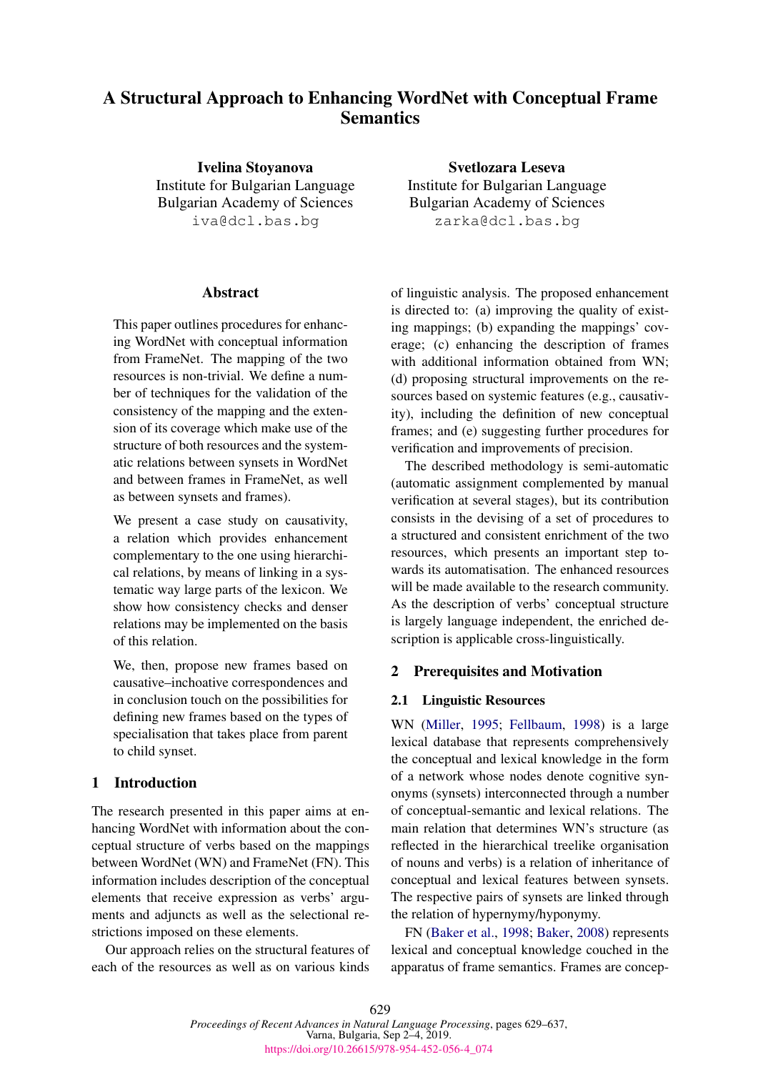# A Structural Approach to Enhancing WordNet with Conceptual Frame **Semantics**

Ivelina Stoyanova Institute for Bulgarian Language Bulgarian Academy of Sciences iva@dcl.bas.bg

#### **Abstract**

This paper outlines procedures for enhancing WordNet with conceptual information from FrameNet. The mapping of the two resources is non-trivial. We define a number of techniques for the validation of the consistency of the mapping and the extension of its coverage which make use of the structure of both resources and the systematic relations between synsets in WordNet and between frames in FrameNet, as well as between synsets and frames).

We present a case study on causativity, a relation which provides enhancement complementary to the one using hierarchical relations, by means of linking in a systematic way large parts of the lexicon. We show how consistency checks and denser relations may be implemented on the basis of this relation.

We, then, propose new frames based on causative–inchoative correspondences and in conclusion touch on the possibilities for defining new frames based on the types of specialisation that takes place from parent to child synset.

### 1 Introduction

The research presented in this paper aims at enhancing WordNet with information about the conceptual structure of verbs based on the mappings between WordNet (WN) and FrameNet (FN). This information includes description of the conceptual elements that receive expression as verbs' arguments and adjuncts as well as the selectional restrictions imposed on these elements.

Our approach relies on the structural features of each of the resources as well as on various kinds

Svetlozara Leseva Institute for Bulgarian Language Bulgarian Academy of Sciences zarka@dcl.bas.bg

of linguistic analysis. The proposed enhancement is directed to: (a) improving the quality of existing mappings; (b) expanding the mappings' coverage; (c) enhancing the description of frames with additional information obtained from WN; (d) proposing structural improvements on the resources based on systemic features (e.g., causativity), including the definition of new conceptual frames; and (e) suggesting further procedures for verification and improvements of precision.

The described methodology is semi-automatic (automatic assignment complemented by manual verification at several stages), but its contribution consists in the devising of a set of procedures to a structured and consistent enrichment of the two resources, which presents an important step towards its automatisation. The enhanced resources will be made available to the research community. As the description of verbs' conceptual structure is largely language independent, the enriched description is applicable cross-linguistically.

#### 2 Prerequisites and Motivation

#### 2.1 Linguistic Resources

WN [\(Miller,](#page-8-0) [1995;](#page-8-0) [Fellbaum,](#page-8-1) [1998\)](#page-8-1) is a large lexical database that represents comprehensively the conceptual and lexical knowledge in the form of a network whose nodes denote cognitive synonyms (synsets) interconnected through a number of conceptual-semantic and lexical relations. The main relation that determines WN's structure (as reflected in the hierarchical treelike organisation of nouns and verbs) is a relation of inheritance of conceptual and lexical features between synsets. The respective pairs of synsets are linked through the relation of hypernymy/hyponymy.

FN [\(Baker et al.,](#page-8-2) [1998;](#page-8-2) [Baker,](#page-8-3) [2008\)](#page-8-3) represents lexical and conceptual knowledge couched in the apparatus of frame semantics. Frames are concep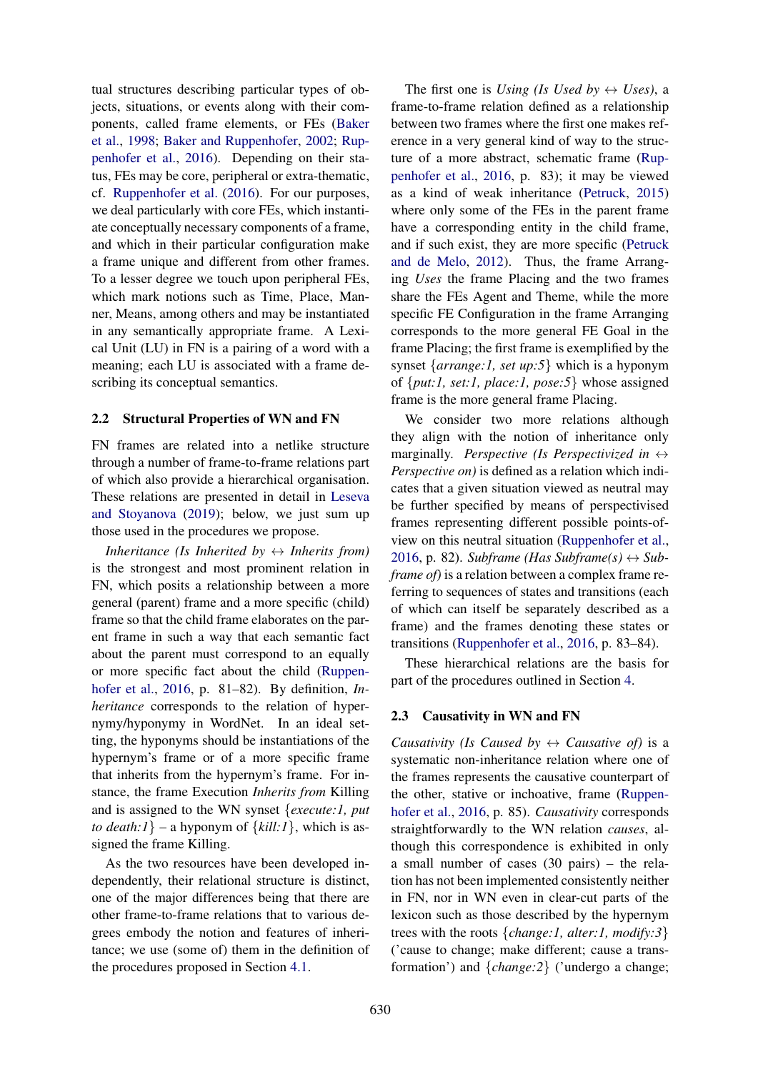tual structures describing particular types of objects, situations, or events along with their components, called frame elements, or FEs [\(Baker](#page-8-2) [et al.,](#page-8-2) [1998;](#page-8-2) [Baker and Ruppenhofer,](#page-8-4) [2002;](#page-8-4) [Rup](#page-8-5)[penhofer et al.,](#page-8-5) [2016\)](#page-8-5). Depending on their status, FEs may be core, peripheral or extra-thematic, cf. [Ruppenhofer et al.](#page-8-5) [\(2016\)](#page-8-5). For our purposes, we deal particularly with core FEs, which instantiate conceptually necessary components of a frame, and which in their particular configuration make a frame unique and different from other frames. To a lesser degree we touch upon peripheral FEs, which mark notions such as Time, Place, Manner, Means, among others and may be instantiated in any semantically appropriate frame. A Lexical Unit (LU) in FN is a pairing of a word with a meaning; each LU is associated with a frame describing its conceptual semantics.

#### 2.2 Structural Properties of WN and FN

FN frames are related into a netlike structure through a number of frame-to-frame relations part of which also provide a hierarchical organisation. These relations are presented in detail in [Leseva](#page-8-6) [and Stoyanova](#page-8-6) [\(2019\)](#page-8-6); below, we just sum up those used in the procedures we propose.

*Inheritance (Is Inherited by*  $\leftrightarrow$  *Inherits from)* is the strongest and most prominent relation in FN, which posits a relationship between a more general (parent) frame and a more specific (child) frame so that the child frame elaborates on the parent frame in such a way that each semantic fact about the parent must correspond to an equally or more specific fact about the child [\(Ruppen](#page-8-5)[hofer et al.,](#page-8-5) [2016,](#page-8-5) p. 81–82). By definition, *Inheritance* corresponds to the relation of hypernymy/hyponymy in WordNet. In an ideal setting, the hyponyms should be instantiations of the hypernym's frame or of a more specific frame that inherits from the hypernym's frame. For instance, the frame Execution *Inherits from* Killing and is assigned to the WN synset {*execute:1, put to death:1*} – a hyponym of  $\{kill:1\}$ , which is assigned the frame Killing.

As the two resources have been developed independently, their relational structure is distinct, one of the major differences being that there are other frame-to-frame relations that to various degrees embody the notion and features of inheritance; we use (some of) them in the definition of the procedures proposed in Section [4.1.](#page-2-0)

The first one is *Using (Is Used by*  $\leftrightarrow$  *Uses)*, a frame-to-frame relation defined as a relationship between two frames where the first one makes reference in a very general kind of way to the structure of a more abstract, schematic frame [\(Rup](#page-8-5)[penhofer et al.,](#page-8-5) [2016,](#page-8-5) p. 83); it may be viewed as a kind of weak inheritance [\(Petruck,](#page-8-7) [2015\)](#page-8-7) where only some of the FEs in the parent frame have a corresponding entity in the child frame, and if such exist, they are more specific [\(Petruck](#page-8-8) [and de Melo,](#page-8-8) [2012\)](#page-8-8). Thus, the frame Arranging *Uses* the frame Placing and the two frames share the FEs Agent and Theme, while the more specific FE Configuration in the frame Arranging corresponds to the more general FE Goal in the frame Placing; the first frame is exemplified by the synset {*arrange:1, set up:5*} which is a hyponym of {*put:1, set:1, place:1, pose:5*} whose assigned frame is the more general frame Placing.

We consider two more relations although they align with the notion of inheritance only marginally. *Perspective (Is Perspectivized in* ↔ *Perspective on)* is defined as a relation which indicates that a given situation viewed as neutral may be further specified by means of perspectivised frames representing different possible points-ofview on this neutral situation [\(Ruppenhofer et al.,](#page-8-5) [2016,](#page-8-5) p. 82). *Subframe (Has Subframe(s)*  $\leftrightarrow$  *Subframe of)* is a relation between a complex frame referring to sequences of states and transitions (each of which can itself be separately described as a frame) and the frames denoting these states or transitions [\(Ruppenhofer et al.,](#page-8-5) [2016,](#page-8-5) p. 83–84).

These hierarchical relations are the basis for part of the procedures outlined in Section [4.](#page-2-1)

## 2.3 Causativity in WN and FN

*Causativity (Is Caused by*  $\leftrightarrow$  *Causative of)* is a systematic non-inheritance relation where one of the frames represents the causative counterpart of the other, stative or inchoative, frame [\(Ruppen](#page-8-5)[hofer et al.,](#page-8-5) [2016,](#page-8-5) p. 85). *Causativity* corresponds straightforwardly to the WN relation *causes*, although this correspondence is exhibited in only a small number of cases (30 pairs) – the relation has not been implemented consistently neither in FN, nor in WN even in clear-cut parts of the lexicon such as those described by the hypernym trees with the roots {*change:1, alter:1, modify:3*} ('cause to change; make different; cause a transformation') and {*change:2*} ('undergo a change;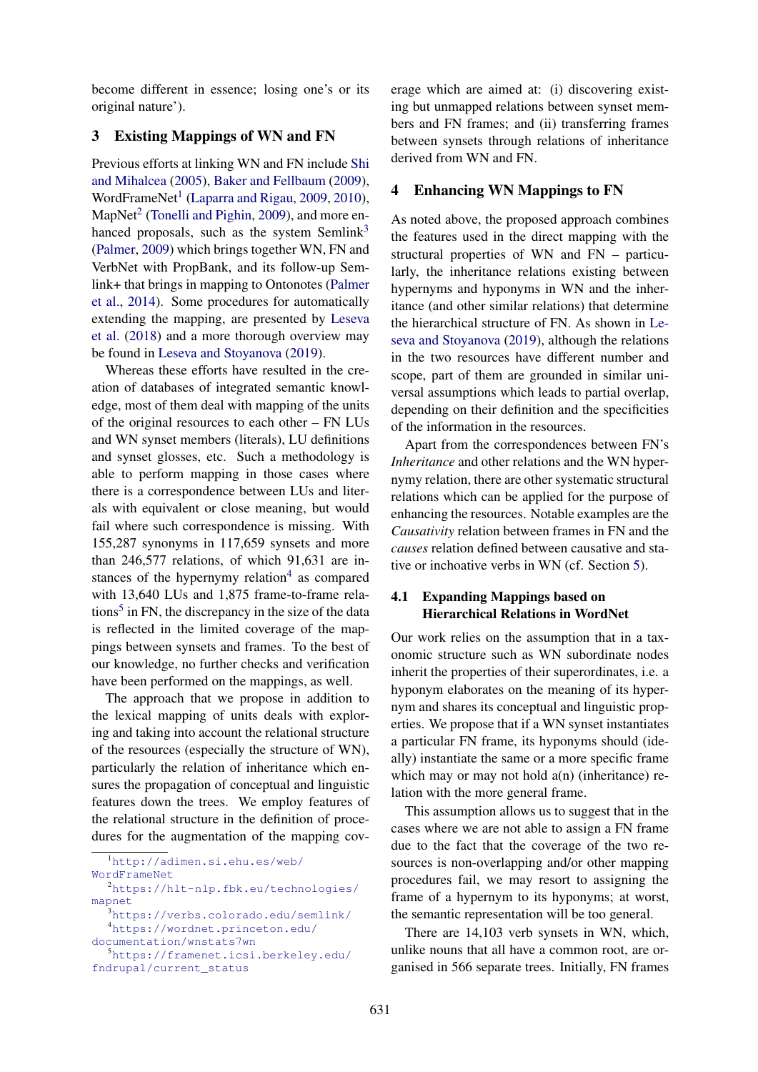become different in essence; losing one's or its original nature').

## 3 Existing Mappings of WN and FN

Previous efforts at linking WN and FN include [Shi](#page-8-9) [and Mihalcea](#page-8-9) [\(2005\)](#page-8-9), [Baker and Fellbaum](#page-8-10) [\(2009\)](#page-8-10), WordFrameNet<sup>[1](#page-2-2)</sup> [\(Laparra and Rigau,](#page-8-11) [2009,](#page-8-11) [2010\)](#page-8-12), MapNet<sup>[2](#page-2-3)</sup> [\(Tonelli and Pighin,](#page-8-13) [2009\)](#page-8-13), and more en-hanced proposals, such as the system Semlink<sup>[3](#page-2-4)</sup> [\(Palmer,](#page-8-14) [2009\)](#page-8-14) which brings together WN, FN and VerbNet with PropBank, and its follow-up Semlink+ that brings in mapping to Ontonotes [\(Palmer](#page-8-15) [et al.,](#page-8-15) [2014\)](#page-8-15). Some procedures for automatically extending the mapping, are presented by [Leseva](#page-8-16) [et al.](#page-8-16) [\(2018\)](#page-8-16) and a more thorough overview may be found in [Leseva and Stoyanova](#page-8-6) [\(2019\)](#page-8-6).

Whereas these efforts have resulted in the creation of databases of integrated semantic knowledge, most of them deal with mapping of the units of the original resources to each other – FN LUs and WN synset members (literals), LU definitions and synset glosses, etc. Such a methodology is able to perform mapping in those cases where there is a correspondence between LUs and literals with equivalent or close meaning, but would fail where such correspondence is missing. With 155,287 synonyms in 117,659 synsets and more than 246,577 relations, of which 91,631 are instances of the hypernymy relation $4$  as compared with 13,640 LUs and 1,875 frame-to-frame rela-tions<sup>[5](#page-2-6)</sup> in FN, the discrepancy in the size of the data is reflected in the limited coverage of the mappings between synsets and frames. To the best of our knowledge, no further checks and verification have been performed on the mappings, as well.

The approach that we propose in addition to the lexical mapping of units deals with exploring and taking into account the relational structure of the resources (especially the structure of WN), particularly the relation of inheritance which ensures the propagation of conceptual and linguistic features down the trees. We employ features of the relational structure in the definition of procedures for the augmentation of the mapping cov-

erage which are aimed at: (i) discovering existing but unmapped relations between synset members and FN frames; and (ii) transferring frames between synsets through relations of inheritance derived from WN and FN.

#### <span id="page-2-1"></span>4 Enhancing WN Mappings to FN

As noted above, the proposed approach combines the features used in the direct mapping with the structural properties of WN and FN – particularly, the inheritance relations existing between hypernyms and hyponyms in WN and the inheritance (and other similar relations) that determine the hierarchical structure of FN. As shown in [Le](#page-8-6)[seva and Stoyanova](#page-8-6) [\(2019\)](#page-8-6), although the relations in the two resources have different number and scope, part of them are grounded in similar universal assumptions which leads to partial overlap, depending on their definition and the specificities of the information in the resources.

Apart from the correspondences between FN's *Inheritance* and other relations and the WN hypernymy relation, there are other systematic structural relations which can be applied for the purpose of enhancing the resources. Notable examples are the *Causativity* relation between frames in FN and the *causes* relation defined between causative and stative or inchoative verbs in WN (cf. Section [5\)](#page-5-0).

### <span id="page-2-0"></span>4.1 Expanding Mappings based on Hierarchical Relations in WordNet

Our work relies on the assumption that in a taxonomic structure such as WN subordinate nodes inherit the properties of their superordinates, i.e. a hyponym elaborates on the meaning of its hypernym and shares its conceptual and linguistic properties. We propose that if a WN synset instantiates a particular FN frame, its hyponyms should (ideally) instantiate the same or a more specific frame which may or may not hold  $a(n)$  (inheritance) relation with the more general frame.

This assumption allows us to suggest that in the cases where we are not able to assign a FN frame due to the fact that the coverage of the two resources is non-overlapping and/or other mapping procedures fail, we may resort to assigning the frame of a hypernym to its hyponyms; at worst, the semantic representation will be too general.

There are 14,103 verb synsets in WN, which, unlike nouns that all have a common root, are organised in 566 separate trees. Initially, FN frames

<span id="page-2-2"></span><sup>1</sup>[http://adimen.si.ehu.es/web/](http://adimen.si.ehu.es/web/WordFrameNet)

[WordFrameNet](http://adimen.si.ehu.es/web/WordFrameNet)

<span id="page-2-3"></span><sup>2</sup>[https://hlt-nlp.fbk.eu/technologies/](https://hlt-nlp.fbk.eu/technologies/mapnet) [mapnet](https://hlt-nlp.fbk.eu/technologies/mapnet)

<span id="page-2-5"></span><span id="page-2-4"></span><sup>3</sup><https://verbs.colorado.edu/semlink/> <sup>4</sup>[https://wordnet.princeton.edu/](https://wordnet.princeton.edu/documentation/wnstats7wn)

[documentation/wnstats7wn](https://wordnet.princeton.edu/documentation/wnstats7wn)

<span id="page-2-6"></span><sup>5</sup>[https://framenet.icsi.berkeley.edu/](https://framenet.icsi.berkeley.edu/fndrupal/current_status) [fndrupal/current\\_status](https://framenet.icsi.berkeley.edu/fndrupal/current_status)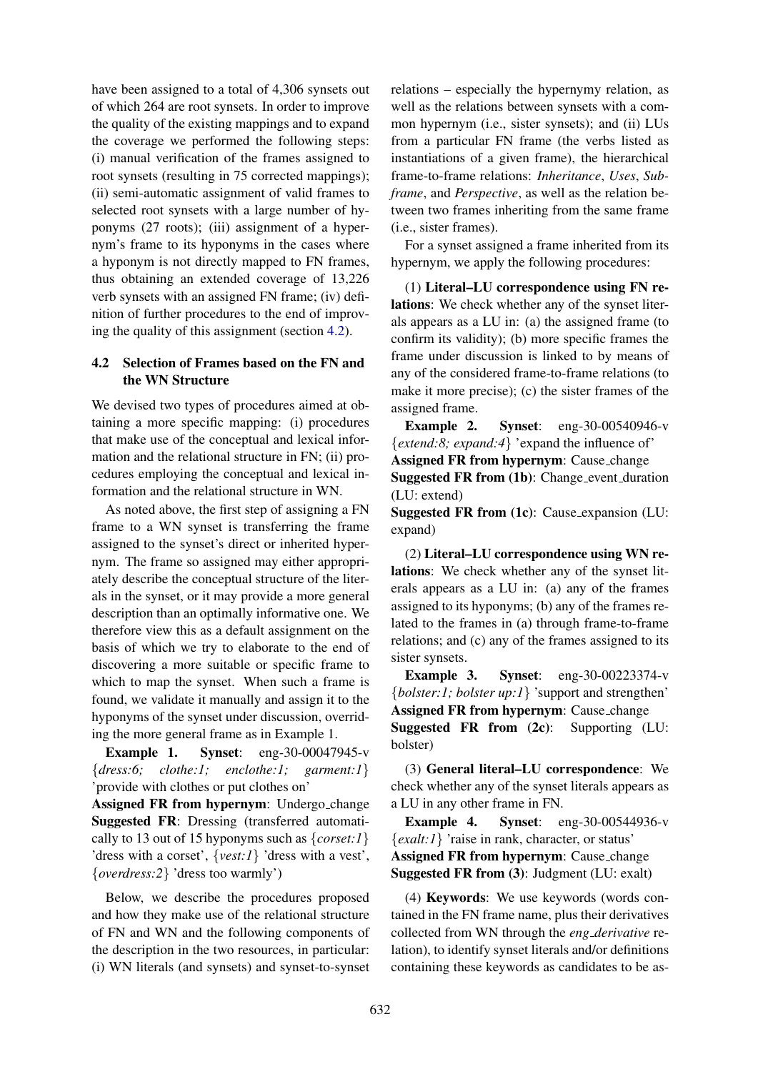have been assigned to a total of 4,306 synsets out of which 264 are root synsets. In order to improve the quality of the existing mappings and to expand the coverage we performed the following steps: (i) manual verification of the frames assigned to root synsets (resulting in 75 corrected mappings); (ii) semi-automatic assignment of valid frames to selected root synsets with a large number of hyponyms (27 roots); (iii) assignment of a hypernym's frame to its hyponyms in the cases where a hyponym is not directly mapped to FN frames, thus obtaining an extended coverage of 13,226 verb synsets with an assigned FN frame; (iv) definition of further procedures to the end of improving the quality of this assignment (section [4.2\)](#page-3-0).

### <span id="page-3-0"></span>4.2 Selection of Frames based on the FN and the WN Structure

We devised two types of procedures aimed at obtaining a more specific mapping: (i) procedures that make use of the conceptual and lexical information and the relational structure in FN; (ii) procedures employing the conceptual and lexical information and the relational structure in WN.

As noted above, the first step of assigning a FN frame to a WN synset is transferring the frame assigned to the synset's direct or inherited hypernym. The frame so assigned may either appropriately describe the conceptual structure of the literals in the synset, or it may provide a more general description than an optimally informative one. We therefore view this as a default assignment on the basis of which we try to elaborate to the end of discovering a more suitable or specific frame to which to map the synset. When such a frame is found, we validate it manually and assign it to the hyponyms of the synset under discussion, overriding the more general frame as in Example 1.

Example 1. Synset: eng-30-00047945-v {*dress:6; clothe:1; enclothe:1; garment:1*} 'provide with clothes or put clothes on'

Assigned FR from hypernym: Undergo change Suggested FR: Dressing (transferred automatically to 13 out of 15 hyponyms such as {*corset:1*} 'dress with a corset', {*vest:1*} 'dress with a vest', {*overdress:2*} 'dress too warmly')

Below, we describe the procedures proposed and how they make use of the relational structure of FN and WN and the following components of the description in the two resources, in particular: (i) WN literals (and synsets) and synset-to-synset

relations – especially the hypernymy relation, as well as the relations between synsets with a common hypernym (i.e., sister synsets); and (ii) LUs from a particular FN frame (the verbs listed as instantiations of a given frame), the hierarchical frame-to-frame relations: *Inheritance*, *Uses*, *Subframe*, and *Perspective*, as well as the relation between two frames inheriting from the same frame (i.e., sister frames).

For a synset assigned a frame inherited from its hypernym, we apply the following procedures:

(1) Literal–LU correspondence using FN relations: We check whether any of the synset literals appears as a LU in: (a) the assigned frame (to confirm its validity); (b) more specific frames the frame under discussion is linked to by means of any of the considered frame-to-frame relations (to make it more precise); (c) the sister frames of the assigned frame.

Example 2. Synset: eng-30-00540946-v {*extend:8; expand:4*} 'expand the influence of' Assigned FR from hypernym: Cause change Suggested FR from (1b): Change event duration (LU: extend)

Suggested FR from (1c): Cause expansion (LU: expand)

(2) Literal–LU correspondence using WN relations: We check whether any of the synset literals appears as a LU in: (a) any of the frames assigned to its hyponyms; (b) any of the frames related to the frames in (a) through frame-to-frame relations; and (c) any of the frames assigned to its sister synsets.

Example 3. Synset: eng-30-00223374-v {*bolster:1; bolster up:1*} 'support and strengthen' Assigned FR from hypernym: Cause\_change

Suggested FR from (2c): Supporting (LU: bolster)

(3) General literal–LU correspondence: We check whether any of the synset literals appears as a LU in any other frame in FN.

Example 4. Synset: eng-30-00544936-v {*exalt:1*} 'raise in rank, character, or status' Assigned FR from hypernym: Cause change Suggested FR from (3): Judgment (LU: exalt)

(4) Keywords: We use keywords (words contained in the FN frame name, plus their derivatives collected from WN through the *eng derivative* relation), to identify synset literals and/or definitions containing these keywords as candidates to be as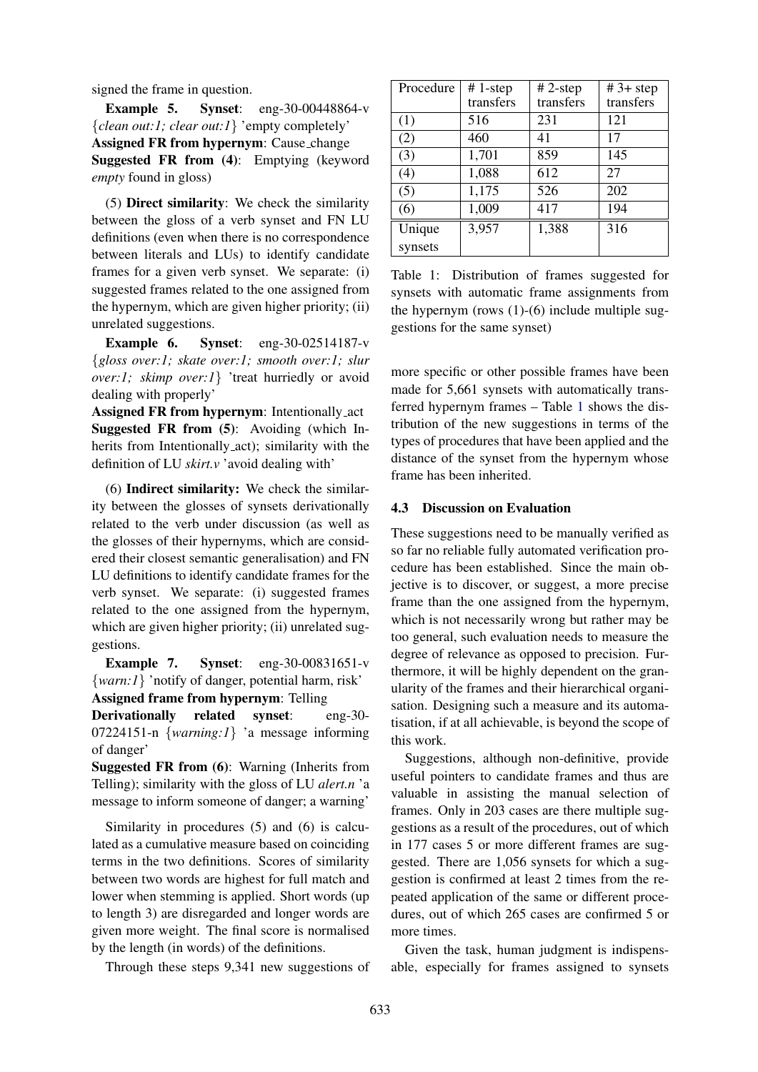signed the frame in question.

Example 5. Synset: eng-30-00448864-v {*clean out:1; clear out:1*} 'empty completely' Assigned FR from hypernym: Cause change Suggested FR from (4): Emptying (keyword *empty* found in gloss)

(5) Direct similarity: We check the similarity between the gloss of a verb synset and FN LU definitions (even when there is no correspondence between literals and LUs) to identify candidate frames for a given verb synset. We separate: (i) suggested frames related to the one assigned from the hypernym, which are given higher priority; (ii) unrelated suggestions.

Example 6. Synset: eng-30-02514187-v {*gloss over:1; skate over:1; smooth over:1; slur over:1; skimp over:1*} 'treat hurriedly or avoid dealing with properly'

Assigned FR from hypernym: Intentionally act Suggested FR from (5): Avoiding (which Inherits from Intentionally act); similarity with the definition of LU *skirt.v* 'avoid dealing with'

(6) Indirect similarity: We check the similarity between the glosses of synsets derivationally related to the verb under discussion (as well as the glosses of their hypernyms, which are considered their closest semantic generalisation) and FN LU definitions to identify candidate frames for the verb synset. We separate: (i) suggested frames related to the one assigned from the hypernym, which are given higher priority; (ii) unrelated suggestions.

**Example 7.** Synset: eng-30-00831651-v {*warn:1*} 'notify of danger, potential harm, risk'

Assigned frame from hypernym: Telling

Derivationally related synset: eng-30- 07224151-n {*warning:1*} 'a message informing of danger'

Suggested FR from (6): Warning (Inherits from Telling); similarity with the gloss of LU *alert.n* 'a message to inform someone of danger; a warning'

Similarity in procedures (5) and (6) is calculated as a cumulative measure based on coinciding terms in the two definitions. Scores of similarity between two words are highest for full match and lower when stemming is applied. Short words (up to length 3) are disregarded and longer words are given more weight. The final score is normalised by the length (in words) of the definitions.

Through these steps 9,341 new suggestions of

| Procedure | #1-step   | $# 2$ -step | $#3+step$ |
|-----------|-----------|-------------|-----------|
|           | transfers | transfers   | transfers |
| (1)       | 516       | 231         | 121       |
| (2)       | 460       | 41          | 17        |
| (3)       | 1,701     | 859         | 145       |
| (4)       | 1,088     | 612         | 27        |
| (5)       | 1,175     | 526         | 202       |
| (6)       | 1,009     | 417         | 194       |
| Unique    | 3,957     | 1,388       | 316       |
| synsets   |           |             |           |

<span id="page-4-0"></span>Table 1: Distribution of frames suggested for synsets with automatic frame assignments from the hypernym (rows  $(1)-(6)$ ) include multiple suggestions for the same synset)

more specific or other possible frames have been made for 5,661 synsets with automatically transferred hypernym frames – Table [1](#page-4-0) shows the distribution of the new suggestions in terms of the types of procedures that have been applied and the distance of the synset from the hypernym whose frame has been inherited.

#### 4.3 Discussion on Evaluation

These suggestions need to be manually verified as so far no reliable fully automated verification procedure has been established. Since the main objective is to discover, or suggest, a more precise frame than the one assigned from the hypernym, which is not necessarily wrong but rather may be too general, such evaluation needs to measure the degree of relevance as opposed to precision. Furthermore, it will be highly dependent on the granularity of the frames and their hierarchical organisation. Designing such a measure and its automatisation, if at all achievable, is beyond the scope of this work.

Suggestions, although non-definitive, provide useful pointers to candidate frames and thus are valuable in assisting the manual selection of frames. Only in 203 cases are there multiple suggestions as a result of the procedures, out of which in 177 cases 5 or more different frames are suggested. There are 1,056 synsets for which a suggestion is confirmed at least 2 times from the repeated application of the same or different procedures, out of which 265 cases are confirmed 5 or more times.

Given the task, human judgment is indispensable, especially for frames assigned to synsets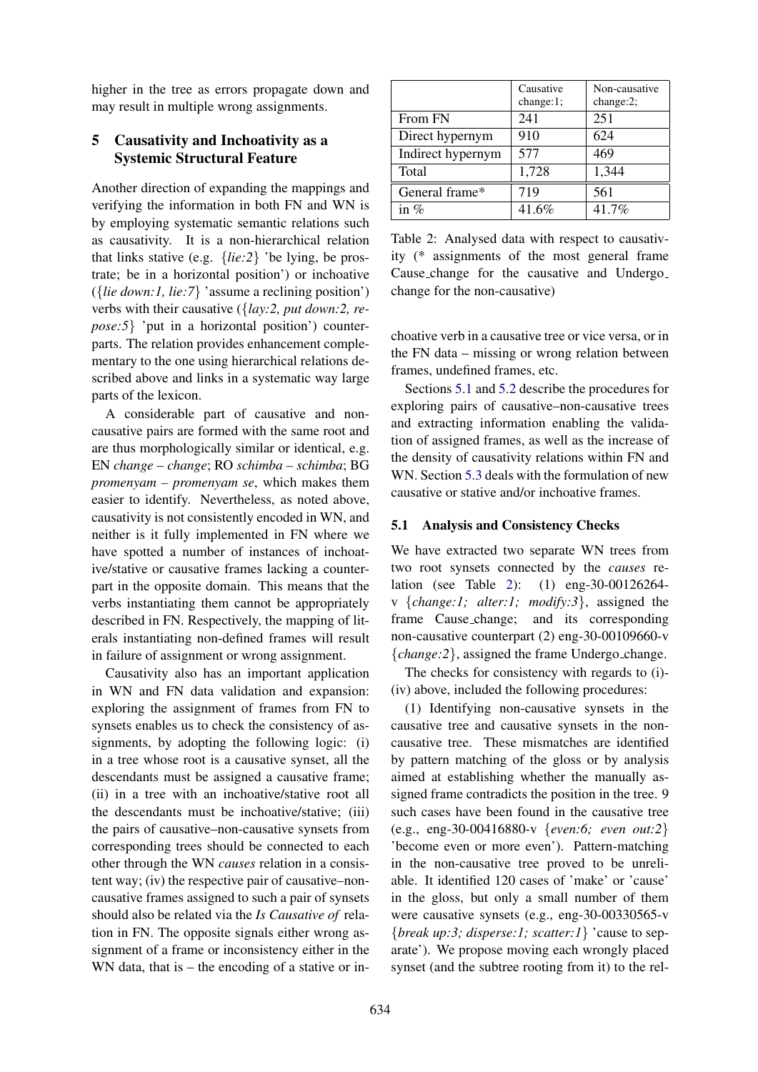higher in the tree as errors propagate down and may result in multiple wrong assignments.

## <span id="page-5-0"></span>5 Causativity and Inchoativity as a Systemic Structural Feature

Another direction of expanding the mappings and verifying the information in both FN and WN is by employing systematic semantic relations such as causativity. It is a non-hierarchical relation that links stative (e.g. {*lie:2*} 'be lying, be prostrate; be in a horizontal position') or inchoative ({*lie down:1, lie:7*} 'assume a reclining position') verbs with their causative ({*lay:2, put down:2, repose:5*} 'put in a horizontal position') counterparts. The relation provides enhancement complementary to the one using hierarchical relations described above and links in a systematic way large parts of the lexicon.

A considerable part of causative and noncausative pairs are formed with the same root and are thus morphologically similar or identical, e.g. EN *change – change*; RO *schimba – schimba*; BG *promenyam – promenyam se*, which makes them easier to identify. Nevertheless, as noted above, causativity is not consistently encoded in WN, and neither is it fully implemented in FN where we have spotted a number of instances of inchoative/stative or causative frames lacking a counterpart in the opposite domain. This means that the verbs instantiating them cannot be appropriately described in FN. Respectively, the mapping of literals instantiating non-defined frames will result in failure of assignment or wrong assignment.

Causativity also has an important application in WN and FN data validation and expansion: exploring the assignment of frames from FN to synsets enables us to check the consistency of assignments, by adopting the following logic: (i) in a tree whose root is a causative synset, all the descendants must be assigned a causative frame; (ii) in a tree with an inchoative/stative root all the descendants must be inchoative/stative; (iii) the pairs of causative–non-causative synsets from corresponding trees should be connected to each other through the WN *causes* relation in a consistent way; (iv) the respective pair of causative–noncausative frames assigned to such a pair of synsets should also be related via the *Is Causative of* relation in FN. The opposite signals either wrong assignment of a frame or inconsistency either in the WN data, that is – the encoding of a stative or in-

|                   | Causative<br>change:1; | Non-causative<br>change:2; |
|-------------------|------------------------|----------------------------|
| From FN           | 241                    | 251                        |
| Direct hypernym   | 910                    | 624                        |
| Indirect hypernym | 577                    | 469                        |
| Total             | 1,728                  | 1,344                      |
| General frame*    | 719                    | 561                        |
| in $\%$           | 41.6%                  | 41.7%                      |

<span id="page-5-2"></span>Table 2: Analysed data with respect to causativity (\* assignments of the most general frame Cause change for the causative and Undergo change for the non-causative)

choative verb in a causative tree or vice versa, or in the FN data – missing or wrong relation between frames, undefined frames, etc.

Sections [5.1](#page-5-1) and [5.2](#page-6-0) describe the procedures for exploring pairs of causative–non-causative trees and extracting information enabling the validation of assigned frames, as well as the increase of the density of causativity relations within FN and WN. Section [5.3](#page-6-1) deals with the formulation of new causative or stative and/or inchoative frames.

#### <span id="page-5-1"></span>5.1 Analysis and Consistency Checks

We have extracted two separate WN trees from two root synsets connected by the *causes* relation (see Table [2\)](#page-5-2): (1) eng-30-00126264 v {*change:1; alter:1; modify:3*}, assigned the frame Cause change; and its corresponding non-causative counterpart (2) eng-30-00109660-v {*change:2*}, assigned the frame Undergo change.

The checks for consistency with regards to (i)- (iv) above, included the following procedures:

(1) Identifying non-causative synsets in the causative tree and causative synsets in the noncausative tree. These mismatches are identified by pattern matching of the gloss or by analysis aimed at establishing whether the manually assigned frame contradicts the position in the tree. 9 such cases have been found in the causative tree (e.g., eng-30-00416880-v {*even:6; even out:2*} 'become even or more even'). Pattern-matching in the non-causative tree proved to be unreliable. It identified 120 cases of 'make' or 'cause' in the gloss, but only a small number of them were causative synsets (e.g., eng-30-00330565-v {*break up:3; disperse:1; scatter:1*} 'cause to separate'). We propose moving each wrongly placed synset (and the subtree rooting from it) to the rel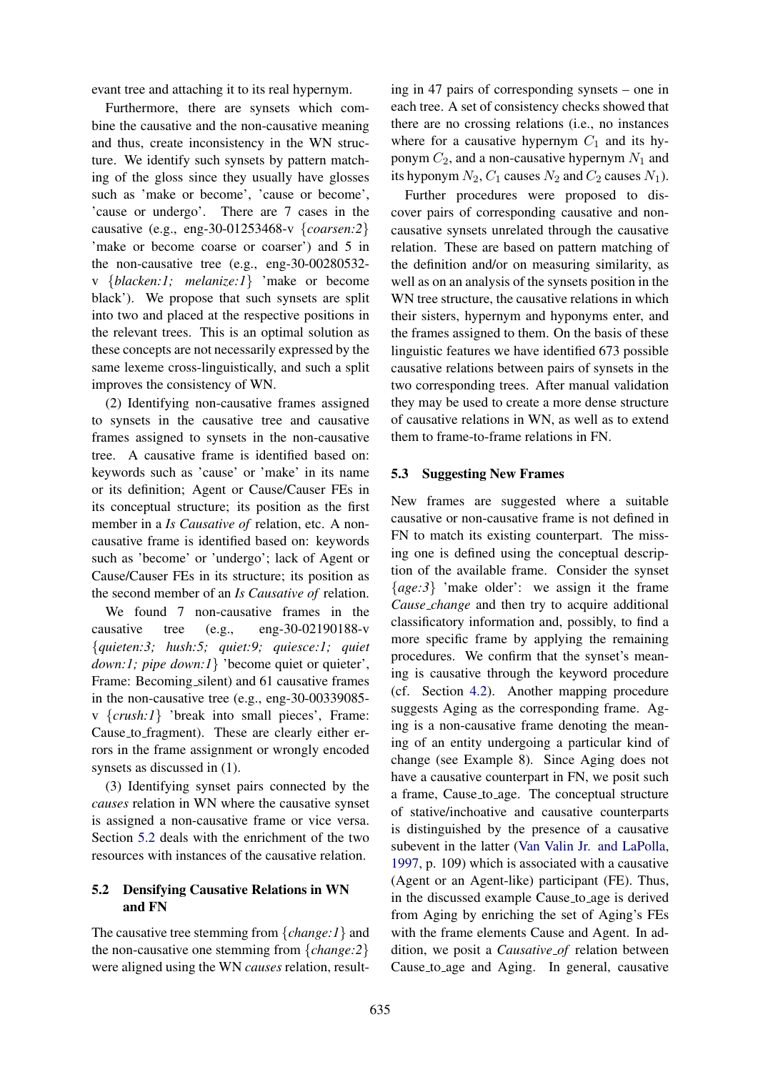evant tree and attaching it to its real hypernym.

Furthermore, there are synsets which combine the causative and the non-causative meaning and thus, create inconsistency in the WN structure. We identify such synsets by pattern matching of the gloss since they usually have glosses such as 'make or become', 'cause or become', 'cause or undergo'. There are 7 cases in the causative (e.g., eng-30-01253468-v {*coarsen:2*} 'make or become coarse or coarser') and 5 in the non-causative tree (e.g., eng-30-00280532 v {*blacken:1; melanize:1*} 'make or become black'). We propose that such synsets are split into two and placed at the respective positions in the relevant trees. This is an optimal solution as these concepts are not necessarily expressed by the same lexeme cross-linguistically, and such a split improves the consistency of WN.

(2) Identifying non-causative frames assigned to synsets in the causative tree and causative frames assigned to synsets in the non-causative tree. A causative frame is identified based on: keywords such as 'cause' or 'make' in its name or its definition; Agent or Cause/Causer FEs in its conceptual structure; its position as the first member in a *Is Causative of* relation, etc. A noncausative frame is identified based on: keywords such as 'become' or 'undergo'; lack of Agent or Cause/Causer FEs in its structure; its position as the second member of an *Is Causative of* relation.

We found 7 non-causative frames in the causative tree (e.g., eng-30-02190188-v {*quieten:3; hush:5; quiet:9; quiesce:1; quiet down:1; pipe down:1*} 'become quiet or quieter', Frame: Becoming\_silent) and 61 causative frames in the non-causative tree (e.g., eng-30-00339085 v {*crush:1*} 'break into small pieces', Frame: Cause to fragment). These are clearly either errors in the frame assignment or wrongly encoded synsets as discussed in (1).

(3) Identifying synset pairs connected by the *causes* relation in WN where the causative synset is assigned a non-causative frame or vice versa. Section [5.2](#page-6-0) deals with the enrichment of the two resources with instances of the causative relation.

### <span id="page-6-0"></span>5.2 Densifying Causative Relations in WN and FN

The causative tree stemming from {*change:1*} and the non-causative one stemming from {*change:2*} were aligned using the WN *causes* relation, resulting in 47 pairs of corresponding synsets – one in each tree. A set of consistency checks showed that there are no crossing relations (i.e., no instances where for a causative hypernym  $C_1$  and its hyponym  $C_2$ , and a non-causative hypernym  $N_1$  and its hyponym  $N_2$ ,  $C_1$  causes  $N_2$  and  $C_2$  causes  $N_1$ ).

Further procedures were proposed to discover pairs of corresponding causative and noncausative synsets unrelated through the causative relation. These are based on pattern matching of the definition and/or on measuring similarity, as well as on an analysis of the synsets position in the WN tree structure, the causative relations in which their sisters, hypernym and hyponyms enter, and the frames assigned to them. On the basis of these linguistic features we have identified 673 possible causative relations between pairs of synsets in the two corresponding trees. After manual validation they may be used to create a more dense structure of causative relations in WN, as well as to extend them to frame-to-frame relations in FN.

#### <span id="page-6-1"></span>5.3 Suggesting New Frames

New frames are suggested where a suitable causative or non-causative frame is not defined in FN to match its existing counterpart. The missing one is defined using the conceptual description of the available frame. Consider the synset {*age:3*} 'make older': we assign it the frame *Cause change* and then try to acquire additional classificatory information and, possibly, to find a more specific frame by applying the remaining procedures. We confirm that the synset's meaning is causative through the keyword procedure (cf. Section [4.2\)](#page-3-0). Another mapping procedure suggests Aging as the corresponding frame. Aging is a non-causative frame denoting the meaning of an entity undergoing a particular kind of change (see Example 8). Since Aging does not have a causative counterpart in FN, we posit such a frame, Cause to age. The conceptual structure of stative/inchoative and causative counterparts is distinguished by the presence of a causative subevent in the latter [\(Van Valin Jr. and LaPolla,](#page-8-17) [1997,](#page-8-17) p. 109) which is associated with a causative (Agent or an Agent-like) participant (FE). Thus, in the discussed example Cause to age is derived from Aging by enriching the set of Aging's FEs with the frame elements Cause and Agent. In addition, we posit a *Causative of* relation between Cause to age and Aging. In general, causative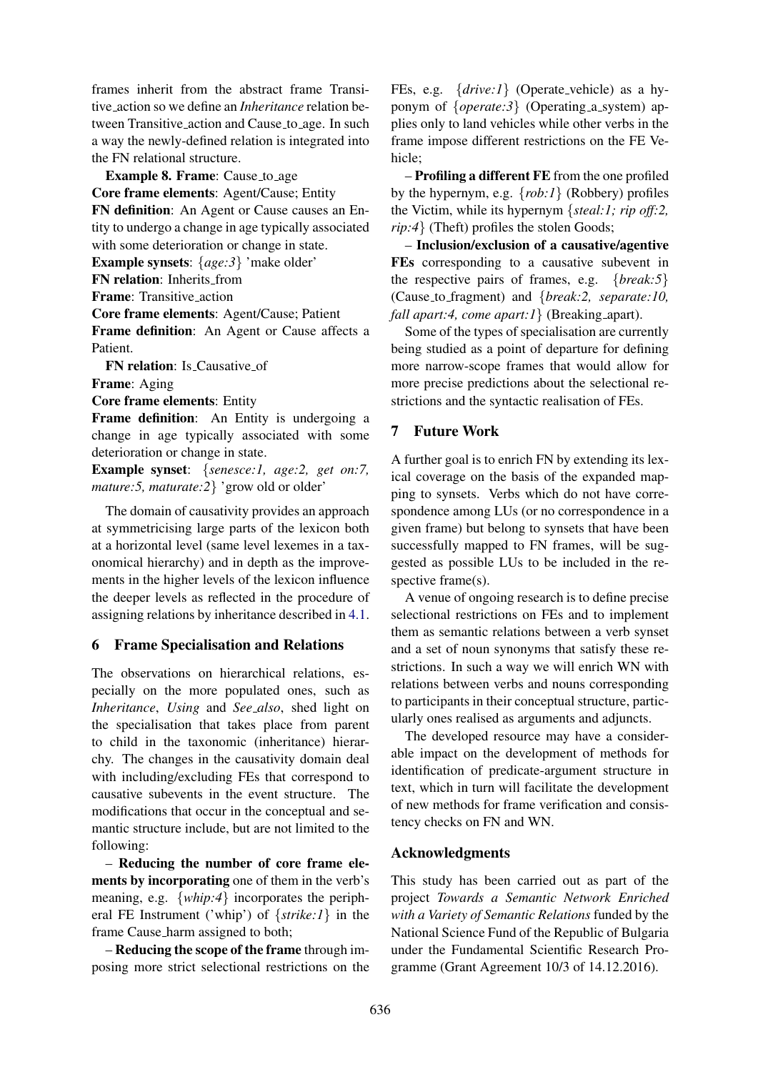frames inherit from the abstract frame Transitive action so we define an *Inheritance* relation between Transitive action and Cause to age. In such a way the newly-defined relation is integrated into the FN relational structure.

Example 8. Frame: Cause\_to\_age

Core frame elements: Agent/Cause; Entity

FN definition: An Agent or Cause causes an Entity to undergo a change in age typically associated with some deterioration or change in state.

Example synsets: {*age:3*} 'make older'

FN relation: Inherits from

Frame: Transitive action

Core frame elements: Agent/Cause; Patient

Frame definition: An Agent or Cause affects a Patient.

FN relation: Is Causative of

Frame: Aging

Core frame elements: Entity

Frame definition: An Entity is undergoing a change in age typically associated with some deterioration or change in state.

Example synset: {*senesce:1, age:2, get on:7, mature:5, maturate:2*} 'grow old or older'

The domain of causativity provides an approach at symmetricising large parts of the lexicon both at a horizontal level (same level lexemes in a taxonomical hierarchy) and in depth as the improvements in the higher levels of the lexicon influence the deeper levels as reflected in the procedure of assigning relations by inheritance described in [4.1.](#page-2-0)

## 6 Frame Specialisation and Relations

The observations on hierarchical relations, especially on the more populated ones, such as *Inheritance*, *Using* and *See also*, shed light on the specialisation that takes place from parent to child in the taxonomic (inheritance) hierarchy. The changes in the causativity domain deal with including/excluding FEs that correspond to causative subevents in the event structure. The modifications that occur in the conceptual and semantic structure include, but are not limited to the following:

– Reducing the number of core frame elements by incorporating one of them in the verb's meaning, e.g. {*whip:4*} incorporates the peripheral FE Instrument ('whip') of {*strike:1*} in the frame Cause harm assigned to both;

– Reducing the scope of the frame through imposing more strict selectional restrictions on the FEs, e.g.  $\{drive:1\}$  (Operate\_vehicle) as a hyponym of  $\{operate: 3\}$  (Operating a system) applies only to land vehicles while other verbs in the frame impose different restrictions on the FE Vehicle;

– Profiling a different FE from the one profiled by the hypernym, e.g. {*rob:1*} (Robbery) profiles the Victim, while its hypernym {*steal:1; rip off:2, rip:4*} (Theft) profiles the stolen Goods;

– Inclusion/exclusion of a causative/agentive FEs corresponding to a causative subevent in the respective pairs of frames, e.g. {*break:5*} (Cause to fragment) and {*break:2, separate:10, fall apart:4, come apart:1* { *(Breaking apart).* 

Some of the types of specialisation are currently being studied as a point of departure for defining more narrow-scope frames that would allow for more precise predictions about the selectional restrictions and the syntactic realisation of FEs.

## 7 Future Work

A further goal is to enrich FN by extending its lexical coverage on the basis of the expanded mapping to synsets. Verbs which do not have correspondence among LUs (or no correspondence in a given frame) but belong to synsets that have been successfully mapped to FN frames, will be suggested as possible LUs to be included in the respective frame(s).

A venue of ongoing research is to define precise selectional restrictions on FEs and to implement them as semantic relations between a verb synset and a set of noun synonyms that satisfy these restrictions. In such a way we will enrich WN with relations between verbs and nouns corresponding to participants in their conceptual structure, particularly ones realised as arguments and adjuncts.

The developed resource may have a considerable impact on the development of methods for identification of predicate-argument structure in text, which in turn will facilitate the development of new methods for frame verification and consistency checks on FN and WN.

## Acknowledgments

This study has been carried out as part of the project *Towards a Semantic Network Enriched with a Variety of Semantic Relations* funded by the National Science Fund of the Republic of Bulgaria under the Fundamental Scientific Research Programme (Grant Agreement 10/3 of 14.12.2016).